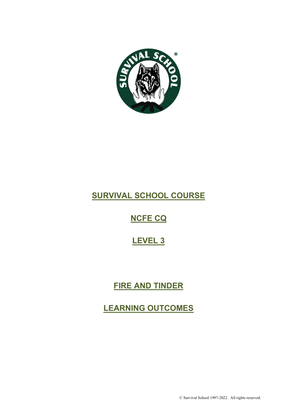

# **SURVIVAL SCHOOL COURSE**

# **NCFE CQ**

# **LEVEL 3**

# **FIRE AND TINDER**

**LEARNING OUTCOMES**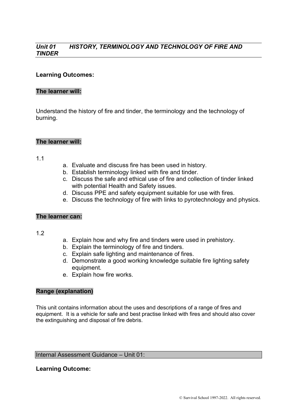#### *Unit 01 HISTORY, TERMINOLOGY AND TECHNOLOGY OF FIRE AND TINDER*

#### **Learning Outcomes:**

#### **The learner will:**

Understand the history of fire and tinder, the terminology and the technology of burning.

#### **The learner will:**

#### 1.1

- a. Evaluate and discuss fire has been used in history.
- b. Establish terminology linked with fire and tinder.
- c. Discuss the safe and ethical use of fire and collection of tinder linked with potential Health and Safety issues.
- d. Discuss PPE and safety equipment suitable for use with fires.
- e. Discuss the technology of fire with links to pyrotechnology and physics.

#### **The learner can:**

#### 1.2

- a. Explain how and why fire and tinders were used in prehistory.
- b. Explain the terminology of fire and tinders.
- c. Explain safe lighting and maintenance of fires.
- d. Demonstrate a good working knowledge suitable fire lighting safety equipment.
- e. Explain how fire works.

#### **Range (explanation)**

This unit contains information about the uses and descriptions of a range of fires and equipment. It is a vehicle for safe and best practise linked with fires and should also cover the extinguishing and disposal of fire debris.

#### Internal Assessment Guidance – Unit 01:

#### **Learning Outcome:**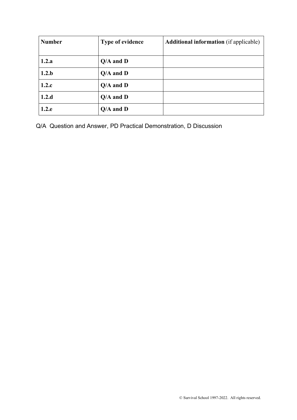| <b>Number</b> | <b>Type of evidence</b> | <b>Additional information</b> (if applicable) |
|---------------|-------------------------|-----------------------------------------------|
|               |                         |                                               |
| 1.2.a         | $Q/A$ and $D$           |                                               |
| 1.2.b         | $Q/A$ and $D$           |                                               |
| 1.2.c         | $Q/A$ and $D$           |                                               |
| 1.2.d         | $Q/A$ and $D$           |                                               |
| 1.2.e         | $Q/A$ and $D$           |                                               |

Q/A Question and Answer, PD Practical Demonstration, D Discussion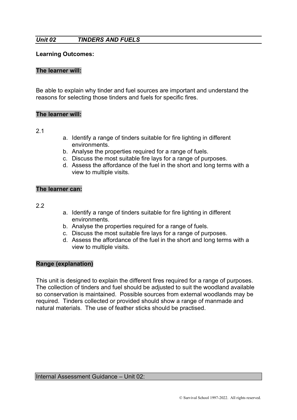### *Unit 02 TINDERS AND FUELS*

#### **Learning Outcomes:**

#### **The learner will:**

Be able to explain why tinder and fuel sources are important and understand the reasons for selecting those tinders and fuels for specific fires.

#### **The learner will:**

2.1

- a. Identify a range of tinders suitable for fire lighting in different environments.
- b. Analyse the properties required for a range of fuels.
- c. Discuss the most suitable fire lays for a range of purposes.
- d. Assess the affordance of the fuel in the short and long terms with a view to multiple visits.

#### **The learner can:**

2.2

- a. Identify a range of tinders suitable for fire lighting in different environments.
- b. Analyse the properties required for a range of fuels.
- c. Discuss the most suitable fire lays for a range of purposes.
- d. Assess the affordance of the fuel in the short and long terms with a view to multiple visits.

#### **Range (explanation)**

This unit is designed to explain the different fires required for a range of purposes. The collection of tinders and fuel should be adjusted to suit the woodland available so conservation is maintained. Possible sources from external woodlands may be required. Tinders collected or provided should show a range of manmade and natural materials. The use of feather sticks should be practised.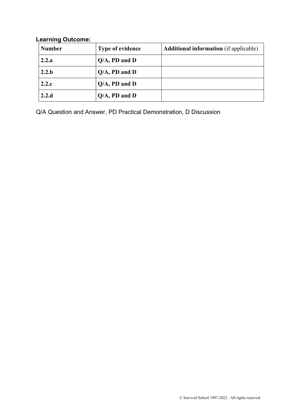### **Learning Outcome:**

| <b>Number</b> | <b>Type of evidence</b> | <b>Additional information</b> (if applicable) |
|---------------|-------------------------|-----------------------------------------------|
| 2.2.a         | $Q/A$ , PD and D        |                                               |
| 2.2.b         | $Q/A$ , PD and D        |                                               |
| 2.2.c         | $Q/A$ , PD and D        |                                               |
| 2.2.d         | $Q/A$ , PD and D        |                                               |

Q/A Question and Answer, PD Practical Demonstration, D Discussion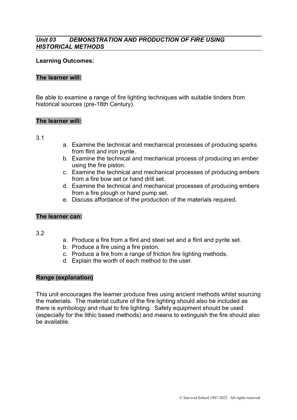#### *Unit 03 DEMONSTRATION AND PRODUCTION OF FIRE USING HISTORICAL METHODS*

#### **Learning Outcomes:**

#### **The learner will:**

Be able to examine a range of fire lighting techniques with suitable tinders from historical sources (pre-18th Century).

#### **The learner will:**

3.1

- a. Examine the technical and mechanical processes of producing sparks from flint and iron pyrite.
- b. Examine the technical and mechanical process of producing an ember using the fire piston.
- c. Examine the technical and mechanical processes of producing embers from a fire bow set or hand drill set.
- d. Examine the technical and mechanical processes of producing embers from a fire plough or hand pump set.
- e. Discuss affordance of the production of the materials required.

#### **The learner can:**

3.2

- a. Produce a fire from a flint and steel set and a flint and pyrite set.
- b. Produce a fire using a fire piston.
- c. Produce a fire from a range of friction fire lighting methods.
- d. Explain the worth of each method to the user.

#### **Range (explanation)**

This unit encourages the learner produce fires using ancient methods whilst sourcing the materials. The material culture of the fire lighting should also be included as there is symbology and ritual to fire lighting. Safety equipment should be used (especially for the lithic based methods) and means to extinguish the fire should also be available.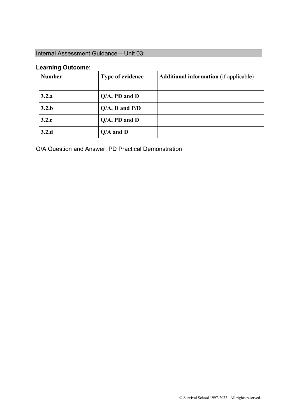## Internal Assessment Guidance – Unit 03:

#### **Learning Outcome:**

| <b>Number</b> | <b>Type of evidence</b> | <b>Additional information</b> (if applicable) |
|---------------|-------------------------|-----------------------------------------------|
| 3.2.a         | $Q/A$ , PD and D        |                                               |
| 3.2.b         | $Q/A$ , D and $P/D$     |                                               |
| 3.2.c         | $Q/A$ , PD and D        |                                               |
| 3.2.d         | $Q/A$ and $D$           |                                               |

Q/A Question and Answer, PD Practical Demonstration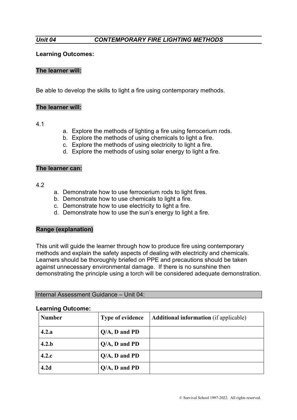#### **Learning Outcomes:**

#### **The learner will:**

Be able to develop the skills to light a fire using contemporary methods.

#### **The learner will:**

#### 4.1

- a. Explore the methods of lighting a fire using ferrocerium rods.
- b. Explore the methods of using chemicals to light a fire.
- c. Explore the methods of using electricity to light a fire.
- d. Explore the methods of using solar energy to light a fire.

#### **The learner can:**

#### 4.2

- a. Demonstrate how to use ferrocerium rods to light fires.
- b. Demonstrate how to use chemicals to light a fire.
- c. Demonstrate how to use electricity to light a fire.
- d. Demonstrate how to use the sun's energy to light a fire.

#### **Range (explanation)**

This unit will guide the learner through how to produce fire using contemporary methods and explain the safety aspects of dealing with electricity and chemicals. Learners should be thoroughly briefed on PPE and precautions should be taken against unnecessary environmental damage. If there is no sunshine then demonstrating the principle using a torch will be considered adequate demonstration.

Internal Assessment Guidance – Unit 04:

| <b>Number</b>    | <b>Type of evidence</b> | <b>Additional information</b> (if applicable) |
|------------------|-------------------------|-----------------------------------------------|
| 4.2.a            | $Q/A$ , D and PD        |                                               |
| 4.2.b            | $Q/A$ , D and PD        |                                               |
| 4.2.c            | $Q/A$ , D and PD        |                                               |
| 4.2 <sub>d</sub> | $Q/A$ , D and PD        |                                               |

#### **Learning Outcome:**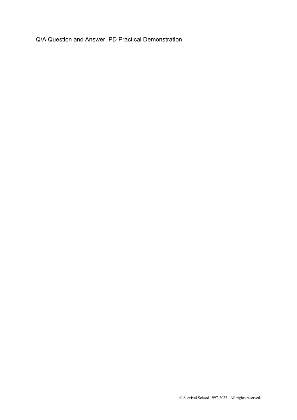Q/A Question and Answer, PD Practical Demonstration